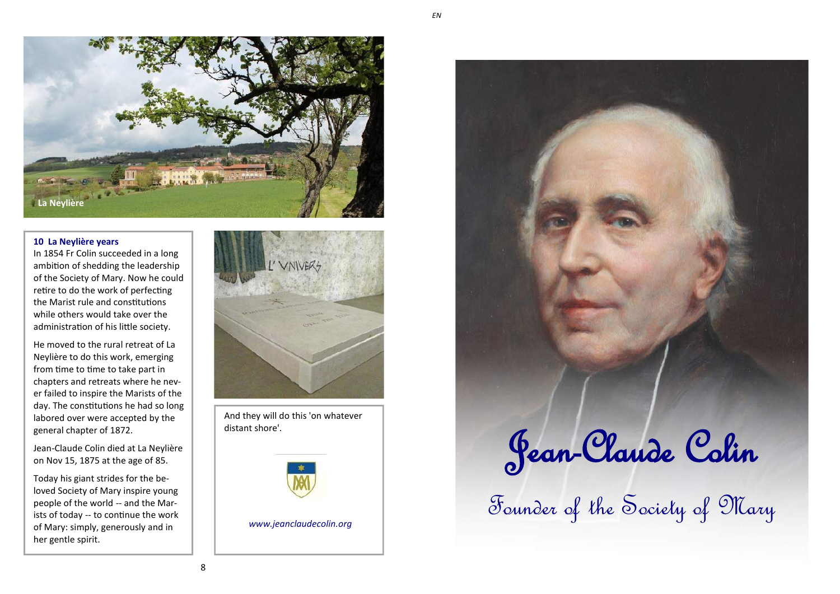

### **10 La Neylière years**

In 1854 Fr Colin succeeded in a long ambition of shedding the leadership of the Society of Mary. Now he could retire to do the work of perfecting the Marist rule and constitutions while others would take over the administration of his little society.

He moved to the rural retreat of La Neylière to do this work, emerging from time to time to take part in chapters and retreats where he never failed to inspire the Marists of the day. The constitutions he had so long labored over were accepted by the general chapter of 1872.

Jean-Claude Colin died at La Neylière on Nov 15, 1875 at the age of 85.

Today his giant strides for the beloved Society of Mary inspire young people of the world -- and the Marists of today -- to continue the work of Mary: simply, generously and in her gentle spirit.



And they will do this 'on whatever distant shore'.



*www.jeanclaudecolin.org*

Jean-Claude Colin Founder of the Society of Mary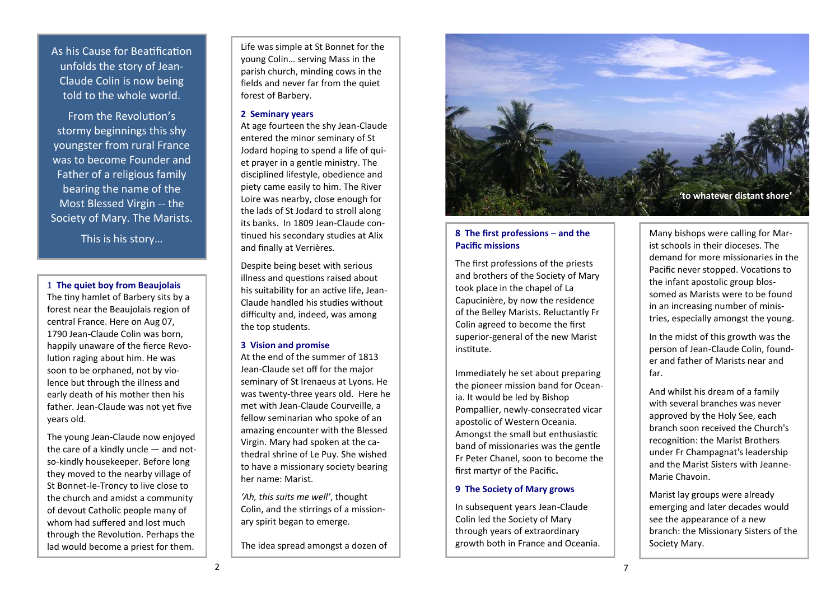As his Cause for Beatification unfolds the story of Jean-Claude Colin is now being told to the whole world.

From the Revolution's stormy beginnings this shy youngster from rural France was to become Founder and Father of a religious family bearing the name of the Most Blessed Virgin -- the Society of Mary. The Marists.

This is his story…

#### 1 **The quiet boy from Beaujolais**

The tiny hamlet of Barbery sits by a forest near the Beaujolais region of central France. Here on Aug 07, 1790 Jean-Claude Colin was born, happily unaware of the fierce Revolution raging about him. He was soon to be orphaned, not by violence but through the illness and early death of his mother then his father. Jean-Claude was not yet five years old.

The young Jean-Claude now enjoyed the care of a kindly uncle — and notso-kindly housekeeper. Before long they moved to the nearby village of St Bonnet-le-Troncy to live close to the church and amidst a community of devout Catholic people many of whom had suffered and lost much through the Revolution. Perhaps the lad would become a priest for them.

Life was simple at St Bonnet for the young Colin… serving Mass in the parish church, minding cows in the fields and never far from the quiet forest of Barbery.

### **2 Seminary years**

At age fourteen the shy Jean-Claude entered the minor seminary of St Jodard hoping to spend a life of quiet prayer in a gentle ministry. The disciplined lifestyle, obedience and piety came easily to him. The River Loire was nearby, close enough for the lads of St Jodard to stroll along its banks. In 1809 Jean-Claude continued his secondary studies at Alix and finally at Verrières.

Despite being beset with serious illness and questions raised about his suitability for an active life, Jean-Claude handled his studies without difficulty and, indeed, was among the top students.

### **3 Vision and promise**

At the end of the summer of 1813 Jean-Claude set off for the major seminary of St Irenaeus at Lyons. He was twenty-three years old. Here he met with Jean-Claude Courveille, a fellow seminarian who spoke of an amazing encounter with the Blessed Virgin. Mary had spoken at the cathedral shrine of Le Puy. She wished to have a missionary society bearing her name: Marist.

*'Ah, this suits me well'*, thought Colin, and the stirrings of a missionary spirit began to emerge.

The idea spread amongst a dozen of



## **8 The first professions** – **and the Pacific missions**

The first professions of the priests and brothers of the Society of Mary took place in the chapel of La Capucinière, by now the residence of the Belley Marists. Reluctantly Fr Colin agreed to become the first superior-general of the new Marist institute.

Immediately he set about preparing the pioneer mission band for Oceania. It would be led by Bishop Pompallier, newly-consecrated vicar apostolic of Western Oceania. Amongst the small but enthusiastic band of missionaries was the gentle Fr Peter Chanel, soon to become the first martyr of the Pacific**.**

### **9 The Society of Mary grows**

In subsequent years Jean-Claude Colin led the Society of Mary through years of extraordinary growth both in France and Oceania.

Many bishops were calling for Marist schools in their dioceses. The demand for more missionaries in the Pacific never stopped. Vocations to the infant apostolic group blossomed as Marists were to be found in an increasing number of ministries, especially amongst the young.

In the midst of this growth was the person of Jean-Claude Colin, founder and father of Marists near and far.

And whilst his dream of a family with several branches was never approved by the Holy See, each branch soon received the Church's recognition: the Marist Brothers under Fr Champagnat's leadership and the Marist Sisters with Jeanne-Marie Chavoin.

Marist lay groups were already emerging and later decades would see the appearance of a new branch: the Missionary Sisters of the Society Mary.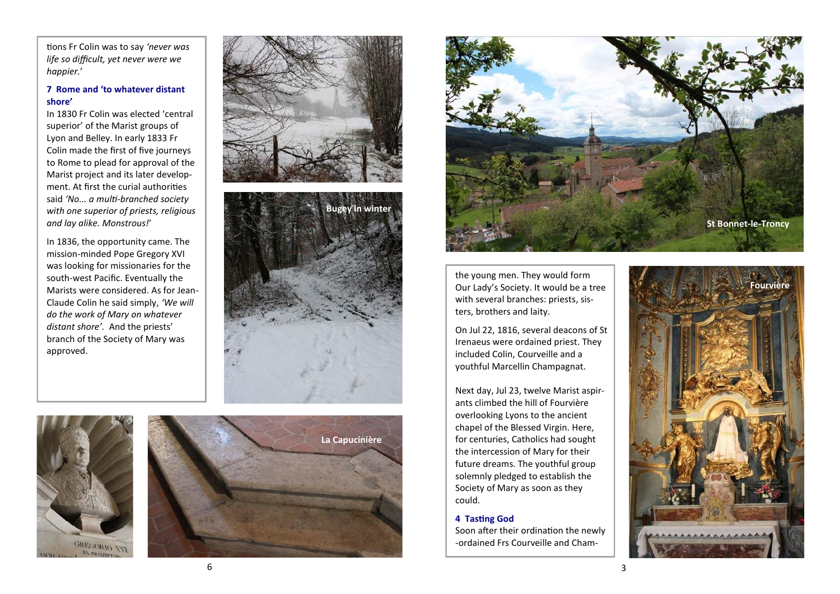tions Fr Colin was to say *'never was life so difficult, yet never were we happier.* '

# **7 Rome and 'to whatever distant shore '**

In 1830 Fr Colin was elected 'central superior' of the Marist groups of Lyon and Belley. In early 1833 Fr Colin made the first of five journeys to Rome to plead for approval of the Marist project and its later development. At first the curial authorities said *'No... a multi -branched society with one superior of priests, religious and lay alike. Monstrous!*'

In 1836, the opportunity came. The mission -minded Pope Gregory XVI was looking for missionaries for the south -west Pacific. Eventually the Marists were considered. As for Jean - Claude Colin he said simply, *'We will do the work of Mary on whatever distant shore'.* And the priests' branch of the Society of Mary was approved.











the young men. They would form Our Lady 's Society. It would be a tree with several branches: priests, sisters, brothers and laity.

On Jul 22, 1816, several deacons of St Irenaeus were ordained priest. They included Colin, Courveille and a youthful Marcellin Champagnat.

Next day, Jul 23, twelve Marist aspirants climbed the hill of Fourvière overlooking Lyons to the ancient chapel of the Blessed Virgin. Here, for centuries, Catholics had sought the intercession of Mary for their future dreams. The youthful group solemnly pledged to establish the Society of Mary as soon as they could.

### **4 Tasting God**

Soon after their ordination the newly -ordained Frs Courveille and Cham-



6